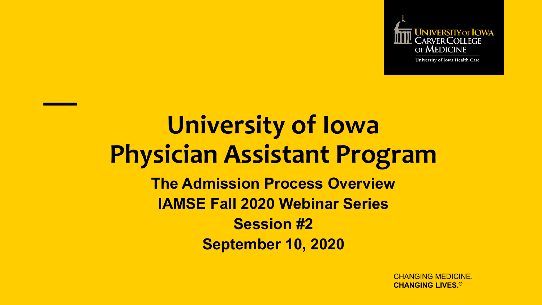

University of Iowa Health Care

## **University of Iowa Physician Assistant Program The Admission Process Overview IAMSE Fall 2020 Webinar Series Session #2 September 10, 2020**

CHANGING MEDICINE. **CHANGING LIVES.®**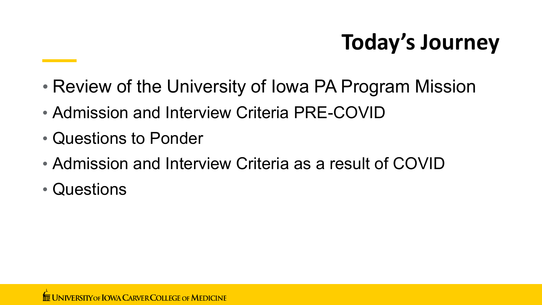# **Today's Journey**

- Review of the University of Iowa PA Program Mission
- Admission and Interview Criteria PRE-COVID
- Questions to Ponder
- Admission and Interview Criteria as a result of COVID
- Questions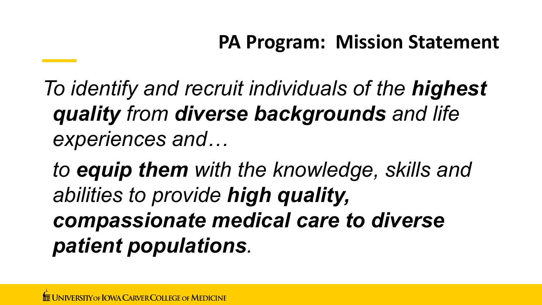*To identify and recruit individuals of the highest quality from diverse backgrounds and life experiences and…*

*to equip them with the knowledge, skills and abilities to provide high quality, compassionate medical care to diverse patient populations.*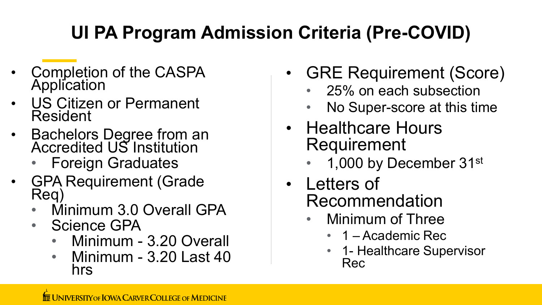### **UI PA Program Admission Criteria (Pre-COVID)**

- Completion of the CASPA **Application**
- US Citizen or Permanent Resident
- Bachelors Degree from an Accredited US Institution
	- Foreign Graduates
- GPA Requirement (Grade Req)
	- Minimum 3.0 Overall GPA
	- Science GPA
		- Minimum 3.20 Overall
		- Minimum 3.20 Last 40 hrs
- GRE Requirement (Score)
	- 25% on each subsection
	- No Super-score at this time
- Healthcare Hours Requirement
	- 1,000 by December  $31^{st}$
- Letters of Recommendation
	- Minimum of Three
		- 1 Academic Rec
		- 1- Healthcare Supervisor Rec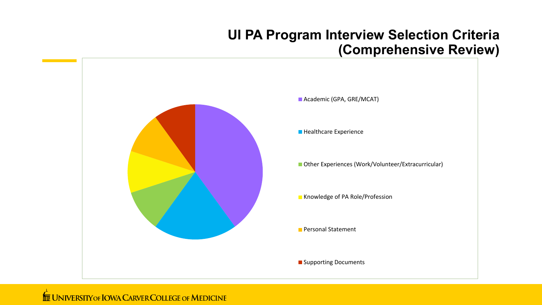#### **UI PA Program Interview Selection Criteria (Comprehensive Review)**



#### **THE UNIVERSITY OF IOWA CARVER COLLEGE OF MEDICINE**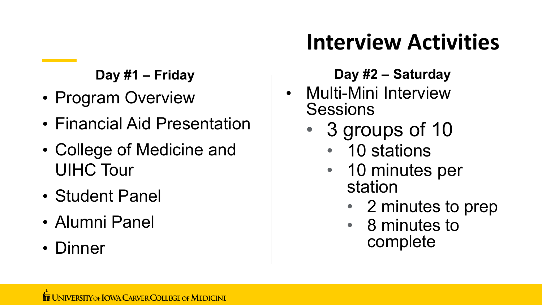#### **Day #1 – Friday**

- Program Overview
- Financial Aid Presentation
- College of Medicine and UIHC Tour
- Student Panel
- Alumni Panel
- Dinner

# **Interview Activities**

#### **Day #2 – Saturday**

- Multi-Mini Interview **Sessions** 
	- 3 groups of 10
		- 10 stations
		- 10 minutes per station
			- 2 minutes to prep
			- 8 minutes to complete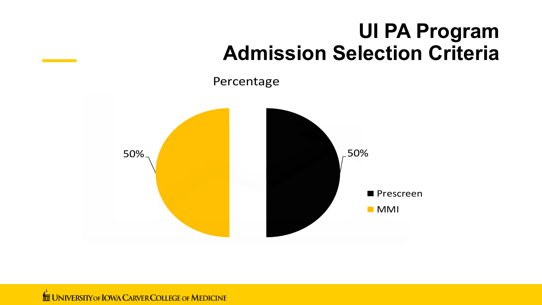### **UI PA Program Admission Selection Criteria**

Percentage



**THE UNIVERSITY OF IOWA CARVER COLLEGE OF MEDICINE**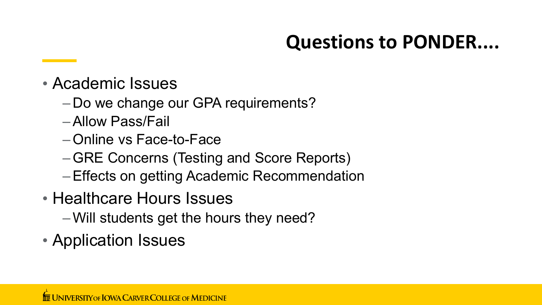### **Questions to PONDER....**

- Academic Issues
	- Do we change our GPA requirements?
	- –Allow Pass/Fail
	- –Online vs Face-to-Face
	- –GRE Concerns (Testing and Score Reports)
	- –Effects on getting Academic Recommendation
- Healthcare Hours Issues
	- –Will students get the hours they need?
- Application Issues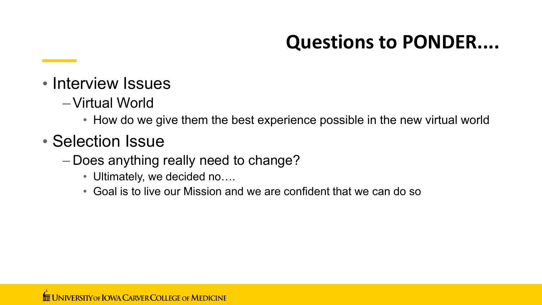### **Questions to PONDER....**

- Interview Issues
	- –Virtual World
		- How do we give them the best experience possible in the new virtual world
- Selection Issue
	- Does anything really need to change?
		- Ultimately, we decided no....
		- Goal is to live our Mission and we are confident that we can do so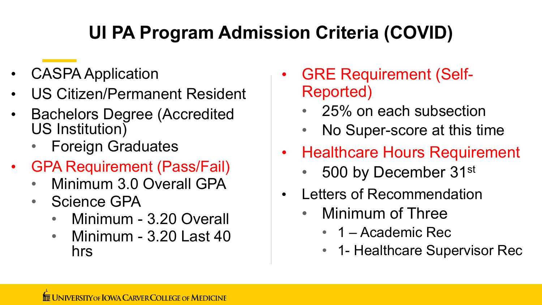### **UI PA Program Admission Criteria (COVID)**

- CASPA Application
- US Citizen/Permanent Resident
- Bachelors Degree (Accredited US Institution)
	- Foreign Graduates
- GPA Requirement (Pass/Fail)
	- Minimum 3.0 Overall GPA
	- Science GPA
		- Minimum 3.20 Overall
		- Minimum 3.20 Last 40 hrs
- GRE Requirement (Self-Reported)
	- 25% on each subsection
	- No Super-score at this time
- Healthcare Hours Requirement
	- 500 by December 31st
- Letters of Recommendation
	- Minimum of Three
		- 1 Academic Rec
		- 1- Healthcare Supervisor Rec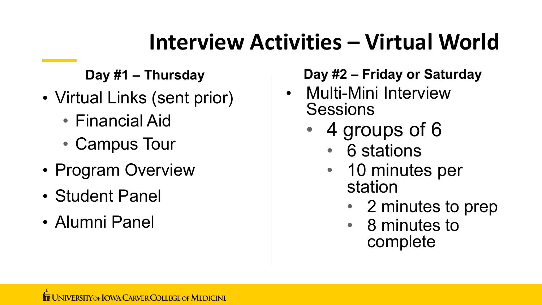## **Interview Activities – Virtual World**

**Day #1 – Thursday** 

- Virtual Links (sent prior)
	- Financial Aid
	- Campus Tour
- Program Overview
- Student Panel
- Alumni Panel

#### **Day #2 – Friday or Saturday**

- Multi-Mini Interview **Sessions** 
	- 4 groups of 6
		- 6 stations
		- 10 minutes per station
			- 2 minutes to prep
			- 8 minutes to complete